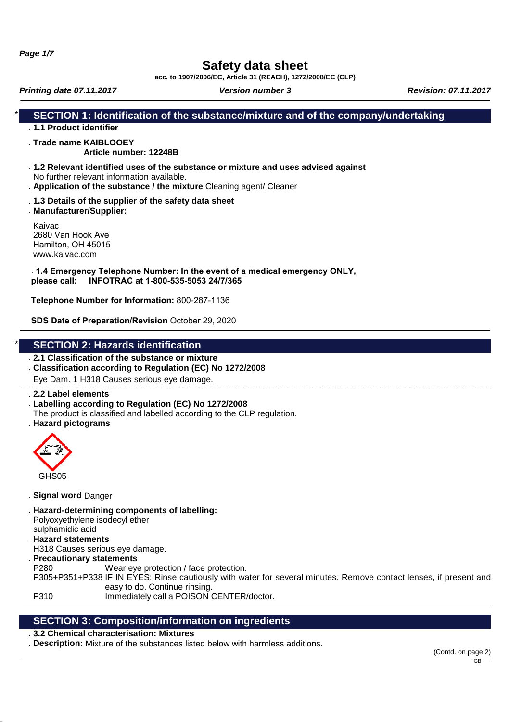**Page 1/7**

# **Safety data sheet**

**acc. to 1907/2006/EC, Article 31 (REACH), 1272/2008/EC (CLP)**

**Printing date 07.11.2017** *Version number 3* **<b>Revision: 07.11.2017 Revision: 07.11.2017** 

## **SECTION 1: Identification of the substance/mixture and of the company/undertaking**

### . **1.1 Product identifier**

#### . **Trade name KAIBLOOEY**

### **Article number: 12248B**

- . **1.2 Relevant identified uses of the substance or mixture and uses advised against** No further relevant information available.
- . **Application of the substance / the mixture** Cleaning agent/ Cleaner
- . **1.3 Details of the supplier of the safety data sheet**
- . **Manufacturer/Supplier:**

Kaivac 2680 Van Hook Ave Hamilton, OH 45015 www.kaivac.com

. **1.4 Emergency Telephone Number: In the event of a medical emergency ONLY, please call: INFOTRAC at 1-800-535-5053 24/7/365**

**Telephone Number for Information:** 800-287-1136

**SDS Date of Preparation/Revision** October 29, 2020

### **SECTION 2: Hazards identification**

- . **2.1 Classification of the substance or mixture**
- . **Classification according to Regulation (EC) No 1272/2008**

Eye Dam. 1 H318 Causes serious eye damage.

- . **2.2 Label elements**
- . **Labelling according to Regulation (EC) No 1272/2008** The product is classified and labelled according to the CLP regulation.
- . **Hazard pictograms**



- . **Signal word** Danger
- . **Hazard-determining components of labelling:** Polyoxyethylene isodecyl ether sulphamidic acid . **Hazard statements**
- H318 Causes serious eye damage.
- . **Precautionary statements**

P280 Wear eye protection / face protection.

P305+P351+P338 IF IN EYES: Rinse cautiously with water for several minutes. Remove contact lenses, if present and easy to do. Continue rinsing.

P310 Immediately call a POISON CENTER/doctor.

### **SECTION 3: Composition/information on ingredients**

### . **3.2 Chemical characterisation: Mixtures**

. **Description:** Mixture of the substances listed below with harmless additions.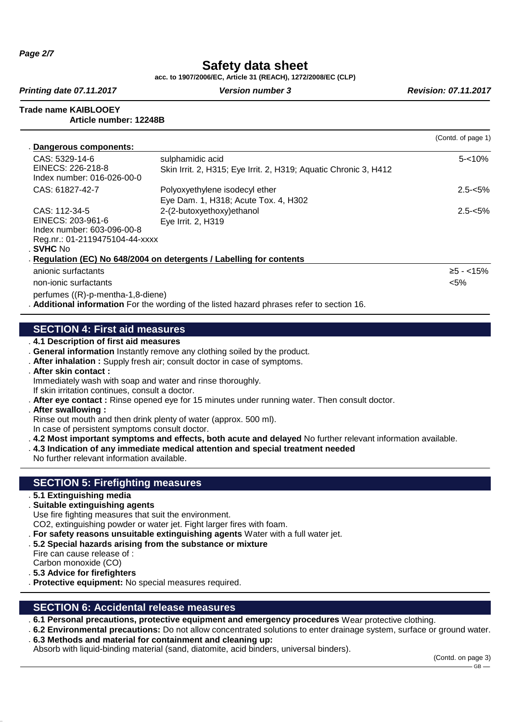**Page 2/7**

# **Safety data sheet**

**acc. to 1907/2006/EC, Article 31 (REACH), 1272/2008/EC (CLP)**

**Printing date 07.11.2017 Version number 3 Revision: 07.11.2017 Revision: 07.11.2017** 

**Trade name KAIBLOOEY**

**Article number: 12248B**

|                                   |                                                                                          | (Contd. of page 1) |
|-----------------------------------|------------------------------------------------------------------------------------------|--------------------|
| Dangerous components:             |                                                                                          |                    |
| CAS: 5329-14-6                    | sulphamidic acid                                                                         | $5 - 10%$          |
| EINECS: 226-218-8                 | Skin Irrit. 2, H315; Eye Irrit. 2, H319; Aquatic Chronic 3, H412                         |                    |
| Index number: 016-026-00-0        |                                                                                          |                    |
| CAS: 61827-42-7                   | Polyoxyethylene isodecyl ether                                                           | $2.5 - 5\%$        |
|                                   | Eye Dam. 1, H318; Acute Tox. 4, H302                                                     |                    |
| CAS: 112-34-5                     | 2-(2-butoxyethoxy)ethanol                                                                | $2.5 - 5\%$        |
| EINECS: 203-961-6                 | Eye Irrit. 2, H319                                                                       |                    |
| Index number: 603-096-00-8        |                                                                                          |                    |
| Reg.nr.: 01-2119475104-44-xxxx    |                                                                                          |                    |
| <b>SVHC No</b>                    |                                                                                          |                    |
|                                   | Regulation (EC) No 648/2004 on detergents / Labelling for contents                       |                    |
| anionic surfactants               |                                                                                          | $≥5 - < 15%$       |
| non-ionic surfactants             |                                                                                          | $< 5\%$            |
| perfumes ((R)-p-mentha-1,8-diene) |                                                                                          |                    |
|                                   | Additional information For the wording of the listed hazard phrases refer to section 16. |                    |
|                                   |                                                                                          |                    |

### **SECTION 4: First aid measures**

. **4.1 Description of first aid measures**

- . **General information** Instantly remove any clothing soiled by the product.
- . **After inhalation :** Supply fresh air; consult doctor in case of symptoms.
- . **After skin contact :**
- Immediately wash with soap and water and rinse thoroughly.
- If skin irritation continues, consult a doctor.
- . **After eye contact :** Rinse opened eye for 15 minutes under running water. Then consult doctor.
- . **After swallowing :**
- Rinse out mouth and then drink plenty of water (approx. 500 ml).
- In case of persistent symptoms consult doctor.
- . **4.2 Most important symptoms and effects, both acute and delayed** No further relevant information available.
- . **4.3 Indication of any immediate medical attention and special treatment needed**
- No further relevant information available.

## **SECTION 5: Firefighting measures**

- . **5.1 Extinguishing media**
- . **Suitable extinguishing agents**
- Use fire fighting measures that suit the environment. CO2, extinguishing powder or water jet. Fight larger fires with foam.
- 
- . **For safety reasons unsuitable extinguishing agents** Water with a full water jet.
- . **5.2 Special hazards arising from the substance or mixture**
- Fire can cause release of : Carbon monoxide (CO)
- . **5.3 Advice for firefighters**
- . **Protective equipment:** No special measures required.

## **SECTION 6: Accidental release measures**

- . **6.1 Personal precautions, protective equipment and emergency procedures** Wear protective clothing.
- . **6.2 Environmental precautions:** Do not allow concentrated solutions to enter drainage system, surface or ground water. . **6.3 Methods and material for containment and cleaning up:**
- Absorb with liquid-binding material (sand, diatomite, acid binders, universal binders).

 $-$  GB  $-$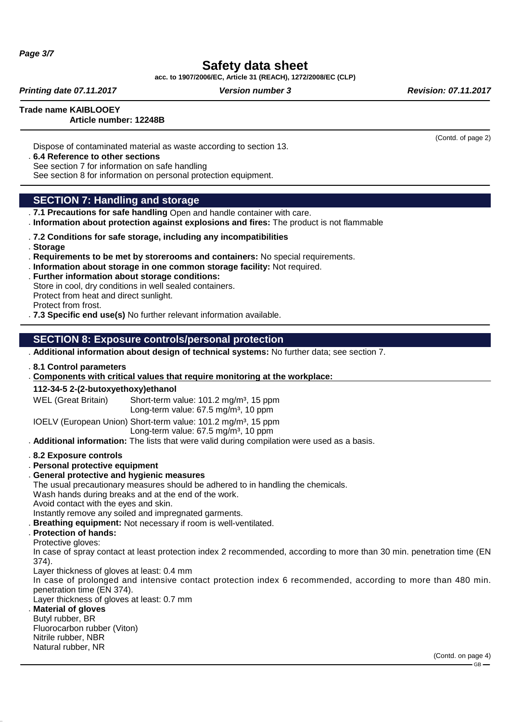**Page 3/7**

# **Safety data sheet**

**acc. to 1907/2006/EC, Article 31 (REACH), 1272/2008/EC (CLP)**

**Printing date 07.11.2017 Version number 3 Revision: 07.11.2017 Revision: 07.11.2017** 

(Contd. of page 2)

**Trade name KAIBLOOEY**

### **Article number: 12248B**

Dispose of contaminated material as waste according to section 13.

#### . **6.4 Reference to other sections**

See section 7 for information on safe handling

See section 8 for information on personal protection equipment.

## **SECTION 7: Handling and storage**

- . **7.1 Precautions for safe handling** Open and handle container with care.
- . **Information about protection against explosions and fires:** The product is not flammable
- . **7.2 Conditions for safe storage, including any incompatibilities**
- . **Storage**
- . **Requirements to be met by storerooms and containers:** No special requirements.
- . **Information about storage in one common storage facility:** Not required.
- . **Further information about storage conditions:**
- Store in cool, dry conditions in well sealed containers. Protect from heat and direct sunlight. Protect from frost.
- . **7.3 Specific end use(s)** No further relevant information available.

### **SECTION 8: Exposure controls/personal protection**

- . **Additional information about design of technical systems:** No further data; see section 7.
- . **8.1 Control parameters**
- . Components with critical values that require monitoring at the workplace:
- **112-34-5 2-(2-butoxyethoxy)ethanol**

WEL (Great Britain) Short-term value: 101.2 mg/m<sup>3</sup>, 15 ppm Long-term value:  $67.5 \text{ mg/m}^3$ , 10 ppm

IOELV (European Union) Short-term value: 101.2 mg/m<sup>3</sup>, 15 ppm Long-term value:  $67.5$  mg/m<sup>3</sup>, 10 ppm

. **Additional information:** The lists that were valid during compilation were used as a basis.

- . **8.2 Exposure controls**
- . **Personal protective equipment**
- . **General protective and hygienic measures**

The usual precautionary measures should be adhered to in handling the chemicals.

Wash hands during breaks and at the end of the work.

- Avoid contact with the eyes and skin.
- Instantly remove any soiled and impregnated garments.
- . **Breathing equipment:** Not necessary if room is well-ventilated.
- . **Protection of hands:**
- Protective gloves:

In case of spray contact at least protection index 2 recommended, according to more than 30 min. penetration time (EN 374).

Layer thickness of gloves at least: 0.4 mm

In case of prolonged and intensive contact protection index 6 recommended, according to more than 480 min. penetration time (EN 374).

Layer thickness of gloves at least: 0.7 mm

## . **Material of gloves**

Butyl rubber, BR Fluorocarbon rubber (Viton) Nitrile rubber, NBR Natural rubber, NR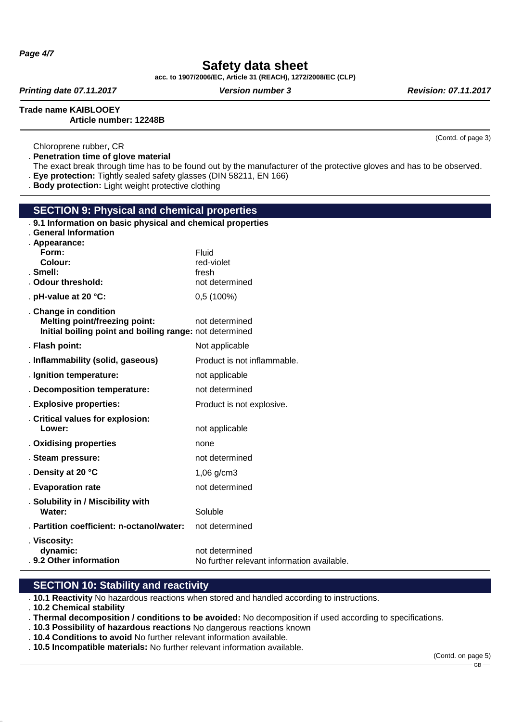**Page 4/7**

# **Safety data sheet**

**acc. to 1907/2006/EC, Article 31 (REACH), 1272/2008/EC (CLP)**

**Printing date 07.11.2017 Version number 3 Revision: 07.11.2017 Revision: 07.11.2017** 

**Trade name KAIBLOOEY**

(Contd. of page 3)

### **Article number: 12248B**

Chloroprene rubber, CR

. **Penetration time of glove material**

The exact break through time has to be found out by the manufacturer of the protective gloves and has to be observed. . **Eye protection:** Tightly sealed safety glasses (DIN 58211, EN 166)

. **Body protection:** Light weight protective clothing

| <b>SECTION 9: Physical and chemical properties</b>                                              |                                            |  |  |  |
|-------------------------------------------------------------------------------------------------|--------------------------------------------|--|--|--|
| . 9.1 Information on basic physical and chemical properties<br><b>General Information</b>       |                                            |  |  |  |
| . Appearance:                                                                                   |                                            |  |  |  |
| Form:                                                                                           | Fluid                                      |  |  |  |
| Colour:                                                                                         | red-violet                                 |  |  |  |
| . Smell:<br>. Odour threshold:                                                                  | fresh<br>not determined                    |  |  |  |
|                                                                                                 |                                            |  |  |  |
| . pH-value at 20 °C:                                                                            | 0,5(100%)                                  |  |  |  |
| . Change in condition                                                                           |                                            |  |  |  |
| <b>Melting point/freezing point:</b><br>Initial boiling point and boiling range: not determined | not determined                             |  |  |  |
|                                                                                                 |                                            |  |  |  |
| . Flash point:                                                                                  | Not applicable                             |  |  |  |
| . Inflammability (solid, gaseous)                                                               | Product is not inflammable.                |  |  |  |
| . Ignition temperature:                                                                         | not applicable                             |  |  |  |
| . Decomposition temperature:                                                                    | not determined                             |  |  |  |
| . Explosive properties:                                                                         | Product is not explosive.                  |  |  |  |
| . Critical values for explosion:                                                                |                                            |  |  |  |
| Lower:                                                                                          | not applicable                             |  |  |  |
| . Oxidising properties                                                                          | none                                       |  |  |  |
| . Steam pressure:                                                                               | not determined                             |  |  |  |
| . Density at 20 °C                                                                              | $1,06$ g/cm $3$                            |  |  |  |
| . Evaporation rate                                                                              | not determined                             |  |  |  |
| . Solubility in / Miscibility with                                                              |                                            |  |  |  |
| Water:                                                                                          | Soluble                                    |  |  |  |
| . Partition coefficient: n-octanol/water:                                                       | not determined                             |  |  |  |
| . Viscosity:                                                                                    |                                            |  |  |  |
| dynamic:<br>. 9.2 Other information                                                             | not determined                             |  |  |  |
|                                                                                                 | No further relevant information available. |  |  |  |

#### **SECTION 10: Stability and reactivity**

. **10.1 Reactivity** No hazardous reactions when stored and handled according to instructions.

. **10.2 Chemical stability**

. **Thermal decomposition / conditions to be avoided:** No decomposition if used according to specifications.

- . **10.3 Possibility of hazardous reactions** No dangerous reactions known
- . **10.4 Conditions to avoid** No further relevant information available.
- . **10.5 Incompatible materials:** No further relevant information available.

(Contd. on page 5)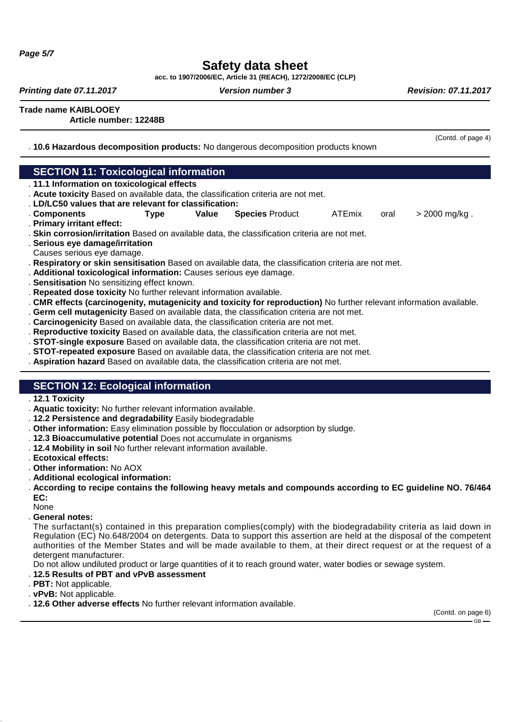# **Safety data sheet**

**acc. to 1907/2006/EC, Article 31 (REACH), 1272/2008/EC (CLP)**

**Printing date 07.11.2017 Version number 3 Revision: 07.11.2017 Revision: 07.11.2017** 

(Contd. of page 4)

**Trade name KAIBLOOEY**

**Article number: 12248B**

. **10.6 Hazardous decomposition products:** No dangerous decomposition products known

| <b>SECTION 11: Toxicological information</b>                                                                         |      |       |                        |               |      |                 |
|----------------------------------------------------------------------------------------------------------------------|------|-------|------------------------|---------------|------|-----------------|
| . 11.1 Information on toxicological effects                                                                          |      |       |                        |               |      |                 |
| . Acute toxicity Based on available data, the classification criteria are not met.                                   |      |       |                        |               |      |                 |
| . LD/LC50 values that are relevant for classification:                                                               |      |       |                        |               |      |                 |
| . Components                                                                                                         | Type | Value | <b>Species Product</b> | <b>ATEmix</b> | oral | $> 2000$ mg/kg. |
| . Primary irritant effect:                                                                                           |      |       |                        |               |      |                 |
| . Skin corrosion/irritation Based on available data, the classification criteria are not met.                        |      |       |                        |               |      |                 |
| . Serious eye damage/irritation                                                                                      |      |       |                        |               |      |                 |
| Causes serious eye damage.                                                                                           |      |       |                        |               |      |                 |
| . Respiratory or skin sensitisation Based on available data, the classification criteria are not met.                |      |       |                        |               |      |                 |
| . Additional toxicological information: Causes serious eye damage.                                                   |      |       |                        |               |      |                 |
| . Sensitisation No sensitizing effect known.                                                                         |      |       |                        |               |      |                 |
| . Repeated dose toxicity No further relevant information available.                                                  |      |       |                        |               |      |                 |
| . CMR effects (carcinogenity, mutagenicity and toxicity for reproduction) No further relevant information available. |      |       |                        |               |      |                 |
| . Germ cell mutagenicity Based on available data, the classification criteria are not met.                           |      |       |                        |               |      |                 |
| . Carcinogenicity Based on available data, the classification criteria are not met.                                  |      |       |                        |               |      |                 |
| . Reproductive toxicity Based on available data, the classification criteria are not met.                            |      |       |                        |               |      |                 |
| . STOT-single exposure Based on available data, the classification criteria are not met.                             |      |       |                        |               |      |                 |
|                                                                                                                      |      |       |                        |               |      |                 |

- . **STOT-repeated exposure** Based on available data, the classification criteria are not met.
- . **Aspiration hazard** Based on available data, the classification criteria are not met.

## **SECTION 12: Ecological information**

- . **12.1 Toxicity**
- . **Aquatic toxicity:** No further relevant information available.
- . **12.2 Persistence and degradability** Easily biodegradable
- . **Other information:** Easy elimination possible by flocculation or adsorption by sludge.
- . **12.3 Bioaccumulative potential** Does not accumulate in organisms
- . **12.4 Mobility in soil** No further relevant information available.
- . **Ecotoxical effects:**
- . **Other information:** No AOX
- . **Additional ecological information:**
- . **According to recipe contains the following heavy metals and compounds according to EC guideline NO. 76/464 EC:**
- None
- . **General notes:**

The surfactant(s) contained in this preparation complies(comply) with the biodegradability criteria as laid down in Regulation (EC) No.648/2004 on detergents. Data to support this assertion are held at the disposal of the competent authorities of the Member States and will be made available to them, at their direct request or at the request of a detergent manufacturer.

Do not allow undiluted product or large quantities of it to reach ground water, water bodies or sewage system.

#### . **12.5 Results of PBT and vPvB assessment**

- . **PBT:** Not applicable.
- . **vPvB:** Not applicable.
- . **12.6 Other adverse effects** No further relevant information available.

(Contd. on page 6)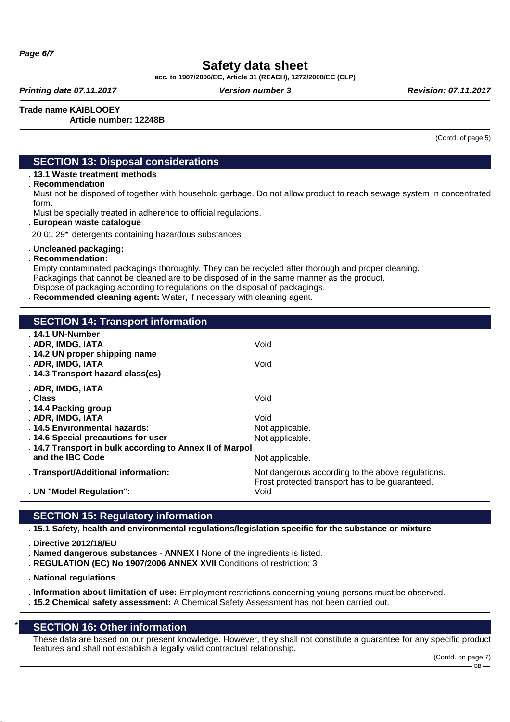# **Safety data sheet**

**acc. to 1907/2006/EC, Article 31 (REACH), 1272/2008/EC (CLP)**

**Printing date 07.11.2017 Version number 3 Revision: 07.11.2017 Revision: 07.11.2017** 

**Trade name KAIBLOOEY Article number: 12248B**

(Contd. of page 5)

### **SECTION 13: Disposal considerations**

### . **13.1 Waste treatment methods**

. **Recommendation**

Must not be disposed of together with household garbage. Do not allow product to reach sewage system in concentrated form.

Must be specially treated in adherence to official regulations.

#### **European waste catalogue** .

20 01 29\* detergents containing hazardous substances

#### . **Uncleaned packaging:**

. **Recommendation:**

Empty contaminated packagings thoroughly. They can be recycled after thorough and proper cleaning. Packagings that cannot be cleaned are to be disposed of in the same manner as the product. Dispose of packaging according to regulations on the disposal of packagings.

. **Recommended cleaning agent:** Water, if necessary with cleaning agent.

| <b>SECTION 14: Transport information</b>                                                        |                                                                                                      |
|-------------------------------------------------------------------------------------------------|------------------------------------------------------------------------------------------------------|
| . 14.1 UN-Number<br>. ADR, IMDG, IATA<br>. 14.2 UN proper shipping name                         | Void                                                                                                 |
| . ADR, IMDG, IATA<br>. 14.3 Transport hazard class(es)                                          | Void                                                                                                 |
| . ADR, IMDG, IATA<br>. Class<br>. 14.4 Packing group                                            | Void                                                                                                 |
| . ADR, IMDG, IATA<br>. 14.5 Environmental hazards:                                              | Void<br>Not applicable.                                                                              |
| . 14.6 Special precautions for user<br>. 14.7 Transport in bulk according to Annex II of Marpol | Not applicable.                                                                                      |
| and the IBC Code                                                                                | Not applicable.                                                                                      |
| . Transport/Additional information:                                                             | Not dangerous according to the above regulations.<br>Frost protected transport has to be guaranteed. |
| . UN "Model Regulation":                                                                        | Void                                                                                                 |

### **SECTION 15: Regulatory information**

. **15.1 Safety, health and environmental regulations/legislation specific for the substance or mixture**

. **Directive 2012/18/EU**

. **Named dangerous substances - ANNEX I** None of the ingredients is listed.

- . **REGULATION (EC) No 1907/2006 ANNEX XVII** Conditions of restriction: 3
- . **National regulations**

. **Information about limitation of use:** Employment restrictions concerning young persons must be observed.

. **15.2 Chemical safety assessment:** A Chemical Safety Assessment has not been carried out.

### **SECTION 16: Other information**

These data are based on our present knowledge. However, they shall not constitute a guarantee for any specific product features and shall not establish a legally valid contractual relationship.